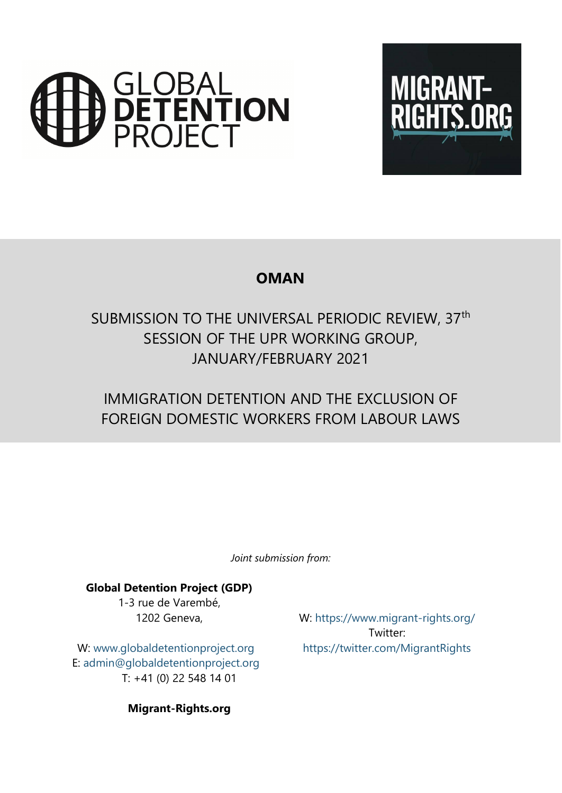



# **OMAN**

# SUBMISSION TO THE UNIVERSAL PERIODIC REVIEW, 37<sup>th</sup> SESSION OF THE UPR WORKING GROUP, JANUARY/FEBRUARY 2021

# IMMIGRATION DETENTION AND THE EXCLUSION OF FOREIGN DOMESTIC WORKERS FROM LABOUR LAWS

*Joint submission from:*

### **Global Detention Project (GDP)**

1-3 rue de Varembé, 1202 Geneva,

W: www.g[lobaldetentionproject.org](http://www.globaldetentionproject.org) E: [admin@globaldetentionproject.org](mailto:admin@globaldetentionproject.org) T: +41 (0) 22 548 14 01

W: <https://www.migrant-rights.org/> Twitter: <https://twitter.com/MigrantRights>

**Migrant-Rights.org**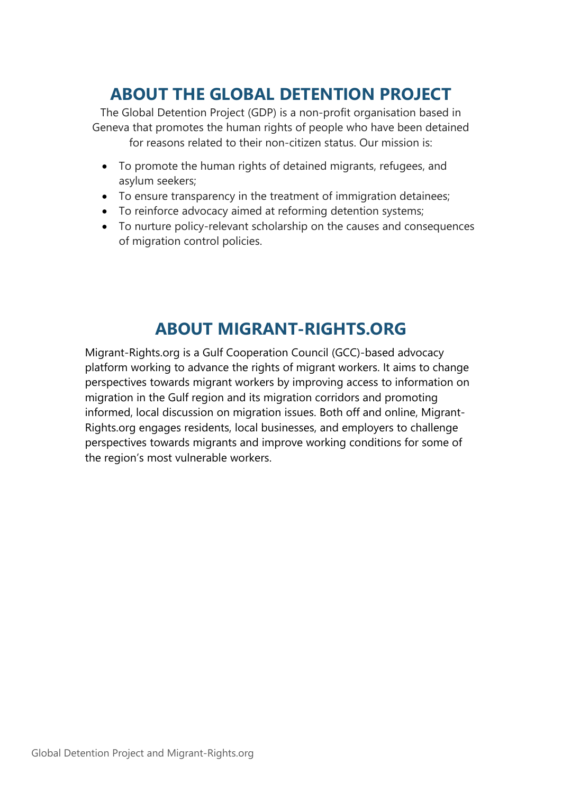# **ABOUT THE GLOBAL DETENTION PROJECT**

The Global Detention Project (GDP) is <sup>a</sup> non-profit organisation based in Geneva that promotes the human rights of people who have been detained for reasons related to their non-citizen status. Our mission is:

- To promote the human rights of detained migrants, refugees, and asylum seekers;
- To ensure transparency in the treatment of immigration detainees;
- To reinforce advocacy aimed at reforming detention systems;
- To nurture policy-relevant scholarship on the causes and consequences of migration control policies.

# **ABOUT MIGRANT-RIGHTS.ORG**

Migrant-Rights.org is <sup>a</sup> Gulf Cooperation Council (GCC)-based advocacy platform working to advance the rights of migrant workers. It aims to change perspectives towards migrant workers by improving access to information on migration in the Gulf region and its migration corridors and promoting informed, local discussion on migration issues. Both off and online, Migrant-Rights.org engages residents, local businesses, and employers to challenge perspectives towards migrants and improve working conditions for some of the region'<sup>s</sup> most vulnerable workers.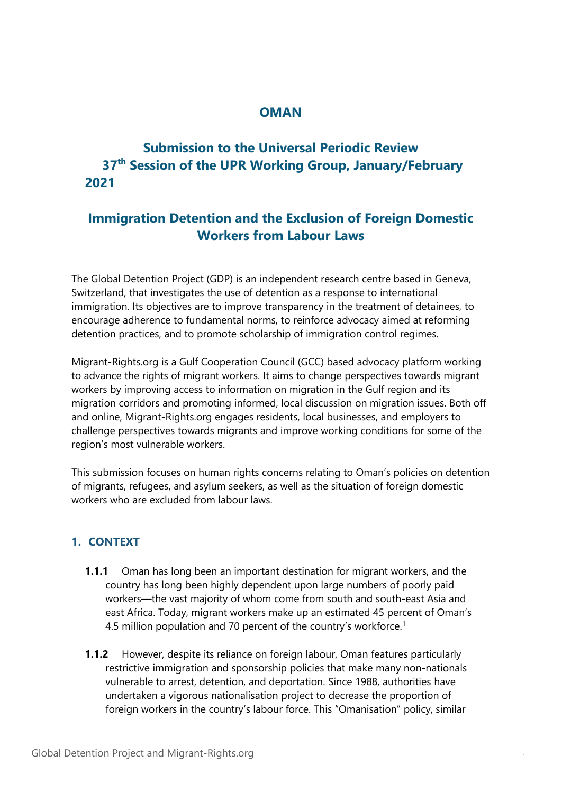## **OMAN**

## **Submission to the Universal Periodic Review 37th Session of the UPR Working Group, January/February 2021**

## **Immigration Detention and the Exclusion of Foreign Domestic Workers from Labour Laws**

The Global Detention Project (GDP) is an independent research centre based in Geneva, Switzerland, that investigates the use of detention as <sup>a</sup> response to international immigration. Its objectives are to improve transparency in the treatment of detainees, to encourage adherence to fundamental norms, to reinforce advocacy aimed at reforming detention practices, and to promote scholarship of immigration control regimes.

Migrant-Rights.org is <sup>a</sup> Gulf Cooperation Council (GCC) based advocacy platform working to advance the rights of migrant workers. It aims to change perspectives towards migrant workers by improving access to information on migration in the Gulf region and its migration corridors and promoting informed, local discussion on migration issues. Both off and online, Migrant-Rights.org engages residents, local businesses, and employers to challenge perspectives towards migrants and improve working conditions for some of the region'<sup>s</sup> most vulnerable workers.

This submission focuses on human rights concerns relating to Oman'<sup>s</sup> policies on detention of migrants, refugees, and asylum seekers, as well as the situation of foreign domestic workers who are excluded from labour laws.

### **1. CONTEXT**

- **1.1.1** Oman has long been an important destination for migrant workers, and the country has long been highly dependent upon large numbers of poorly paid workers—the vast majority of whom come from south and south-east Asia and east Africa. Today, migrant workers make up an estimated 45 percent of Oman'<sup>s</sup> 4.5 million population and 70 percent of the country'<sup>s</sup> workforce. 1
- **1.1.2** However, despite its reliance on foreign labour, Oman features particularly restrictive immigration and sponsorship policies that make many non-nationals vulnerable to arrest, detention, and deportation. Since 1988, authorities have undertaken <sup>a</sup> vigorous nationalisation project to decrease the proportion of foreign workers in the country'<sup>s</sup> labour force. This "Omanisation" policy, similar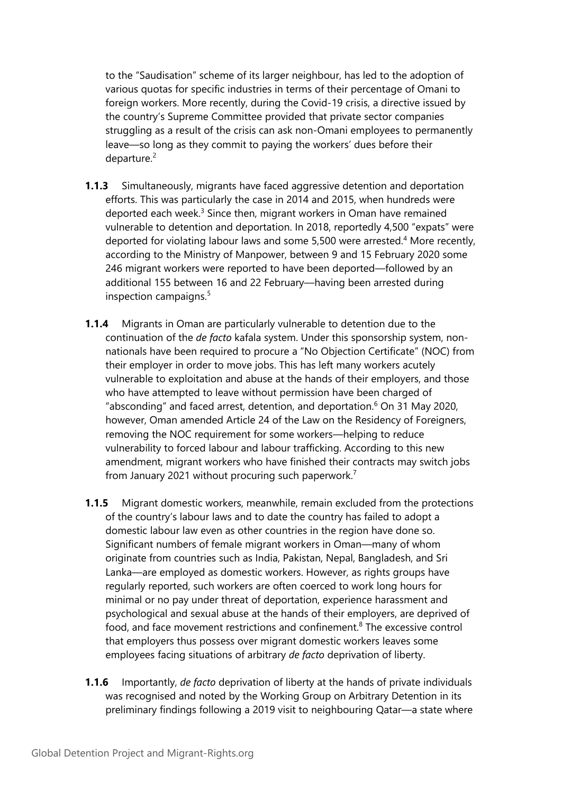to the "Saudisation" scheme of its larger neighbour, has led to the adoption of various quotas for specific industries in terms of their percentage of Omani to foreign workers. More recently, during the Covid-19 crisis, <sup>a</sup> directive issued by the country'<sup>s</sup> Supreme Committee provided that private sector companies struggling as <sup>a</sup> result of the crisis can ask non-Omani employees to permanently leave—so long as they commit to paying the workers' dues before their departure.<sup>2</sup>

- **1.1.3** Simultaneously, migrants have faced aggressive detention and deportation efforts. This was particularly the case in 2014 and 2015, when hundreds were deported each week.<sup>3</sup> Since then, migrant workers in Oman have remained vulnerable to detention and deportation. In 2018, reportedly 4,500 "expats" were deported for violating labour laws and some 5,500 were arrested. <sup>4</sup> More recently, according to the Ministry of Manpower, between 9 and 15 February 2020 some 246 migrant workers were reported to have been deported—followed by an additional 155 between 16 and 22 February—having been arrested during inspection campaigns. 5
- **1.1.4** Migrants in Oman are particularly vulnerable to detention due to the continuation of the *de facto* kafala system. Under this sponsorship system, nonnationals have been required to procure <sup>a</sup> "No Objection Certificate" (NOC) from their employer in order to move jobs. This has left many workers acutely vulnerable to exploitation and abuse at the hands of their employers, and those who have attempted to leave without permission have been charged of "absconding" and faced arrest, detention, and deportation. $^6$  On 31 May 2020, however, Oman amended Article 24 of the Law on the Residency of Foreigners, removing the NOC requirement for some workers—helping to reduce vulnerability to forced labour and labour trafficking. According to this new amendment, migrant workers who have finished their contracts may switch jobs from January 2021 without procuring such paperwork. 7
- **1.1.5** Migrant domestic workers, meanwhile, remain excluded from the protections of the country'<sup>s</sup> labour laws and to date the country has failed to adopt <sup>a</sup> domestic labour law even as other countries in the region have done so. Significant numbers of female migrant workers in Oman—many of whom originate from countries such as India, Pakistan, Nepal, Bangladesh, and Sri Lanka—are employed as domestic workers. However, as rights groups have regularly reported, such workers are often coerced to work long hours for minimal or no pay under threat of deportation, experience harassment and psychological and sexual abuse at the hands of their employers, are deprived of food, and face movement restrictions and confinement.<sup>8</sup> The excessive control that employers thus possess over migrant domestic workers leaves some employees facing situations of arbitrary *de facto* deprivation of liberty.
- **1.1.6** Importantly, *de facto* deprivation of liberty at the hands of private individuals was recognised and noted by the Working Group on Arbitrary Detention in its preliminary findings following <sup>a</sup> 2019 visit to neighbouring Qatar—<sup>a</sup> state where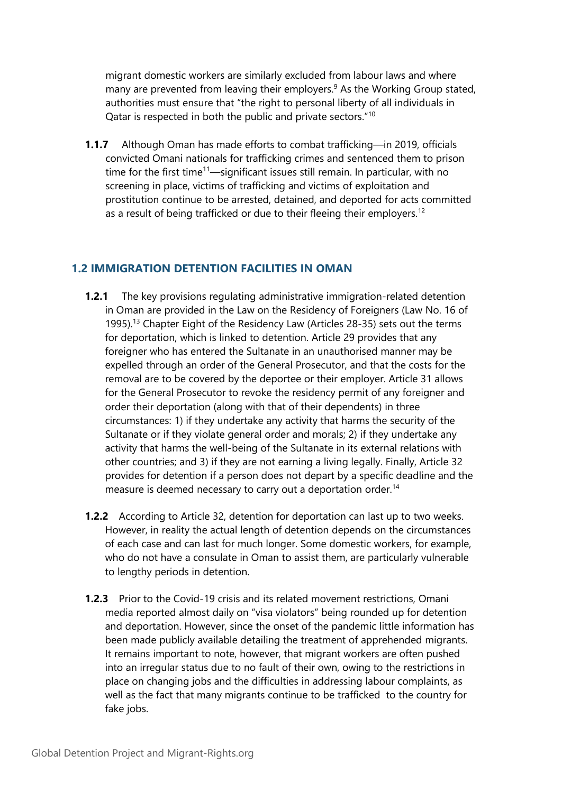migrant domestic workers are similarly excluded from labour laws and where many are prevented from leaving their employers. 9 As the Working Group stated, authorities must ensure that "the right to personal liberty of all individuals in Qatar is respected in both the public and private sectors." $^{\rm 10}$ 

**1.1.7** Although Oman has made efforts to combat trafficking—in 2019, officials convicted Omani nationals for trafficking crimes and sentenced them to prison time for the first time<sup>11</sup>—significant issues still remain. In particular, with no screening in place, victims of trafficking and victims of exploitation and prostitution continue to be arrested, detained, and deported for acts committed as a result of being trafficked or due to their fleeing their employers.<sup>12</sup>

#### **1.2 IMMIGRATION DETENTION FACILITIES IN OMAN**

- **1.2.1** The key provisions regulating administrative immigration-related detention in Oman are provided in the Law on the Residency of Foreigners (Law No. 16 of 1995).<sup>13</sup> Chapter Eight of the Residency Law (Articles 28-35) sets out the terms for deportation, which is linked to detention. Article 29 provides that any foreigner who has entered the Sultanate in an unauthorised manner may be expelled through an order of the General Prosecutor, and that the costs for the removal are to be covered by the deportee or their employer. Article 31 allows for the General Prosecutor to revoke the residency permit of any foreigner and order their deportation (along with that of their dependents) in three circumstances: 1) if they undertake any activity that harms the security of the Sultanate or if they violate general order and morals; 2) if they undertake any activity that harms the well-being of the Sultanate in its external relations with other countries; and 3) if they are not earning <sup>a</sup> living legally. Finally, Article 32 provides for detention if <sup>a</sup> person does not depart by <sup>a</sup> specific deadline and the measure is deemed necessary to carry out a deportation order.<sup>14</sup>
- **1.2.2** According to Article 32, detention for deportation can last up to two weeks. However, in reality the actual length of detention depends on the circumstances of each case and can last for much longer. Some domestic workers, for example, who do not have <sup>a</sup> consulate in Oman to assist them, are particularly vulnerable to lengthy periods in detention.
- **1.2.3** Prior to the Covid-19 crisis and its related movement restrictions, Omani media reported almost daily on "visa violators" being rounded up for detention and deportation. However, since the onset of the pandemic little information has been made publicly available detailing the treatment of apprehended migrants. It remains important to note, however, that migrant workers are often pushed into an irregular status due to no fault of their own, owing to the restrictions in place on changing jobs and the difficulties in addressing labour complaints, as well as the fact that many migrants continue to be trafficked to the country for fake jobs.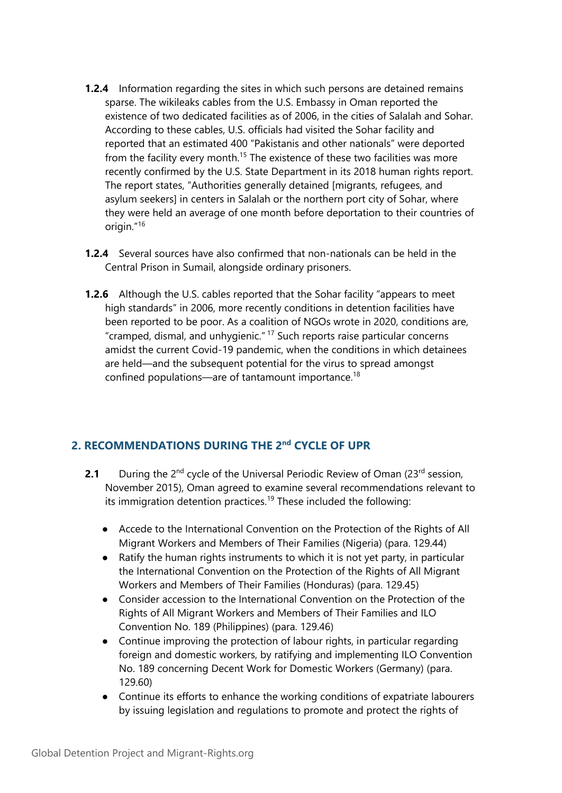- **1.2.4** Information regarding the sites in which such persons are detained remains sparse. The wikileaks cables from the U.S. Embassy in Oman reported the existence of two dedicated facilities as of 2006, in the cities of Salalah and Sohar. According to these cables, U.S. officials had visited the Sohar facility and reported that an estimated 400 "Pakistanis and other nationals" were deported from the facility every month.<sup>15</sup> The existence of these two facilities was more recently confirmed by the U.S. State Department in its 2018 human rights report. The report states, "Authorities generally detained [migrants, refugees, and asylum seekers] in centers in Salalah or the northern port city of Sohar, where they were held an average of one month before deportation to their countries of origin."<sup>16</sup>
- **1.2.4** Several sources have also confirmed that non-nationals can be held in the Central Prison in Sumail, alongside ordinary prisoners.
- **1.2.6** Although the U.S. cables reported that the Sohar facility "appears to meet high standards" in 2006, more recently conditions in detention facilities have been reported to be poor. As <sup>a</sup> coalition of NGOs wrote in 2020, conditions are, "cramped, dismal, and unhygienic." <sup>17</sup> Such reports raise particular concerns amidst the current Covid-19 pandemic, when the conditions in which detainees are held—and the subsequent potential for the virus to spread amongs<sup>t</sup> confined populations—are of tantamount importance. 18

#### **2. RECOMMENDATIONS DURING THE 2nd CYCLE OF UPR**

- **2.1** During the 2<sup>nd</sup> cycle of the Universal Periodic Review of Oman (23<sup>rd</sup> session, November 2015), Oman agreed to examine several recommendations relevant to its immigration detention practices.<sup>19</sup> These included the following:
	- Accede to the International Convention on the Protection of the Rights of All Migrant Workers and Members of Their Families (Nigeria) (para. 129.44)
	- $\bullet$  Ratify the human rights instruments to which it is not ye<sup>t</sup> party, in particular the International Convention on the Protection of the Rights of All Migrant Workers and Members of Their Families (Honduras) (para. 129.45)
	- Consider accession to the International Convention on the Protection of the Rights of All Migrant Workers and Members of Their Families and ILO Convention No. 189 (Philippines) (para. 129.46)
	- Continue improving the protection of labour rights, in particular regarding foreign and domestic workers, by ratifying and implementing ILO Convention No. 189 concerning Decent Work for Domestic Workers (Germany) (para. 129.60)
	- Continue its efforts to enhance the working conditions of expatriate labourers by issuing legislation and regulations to promote and protect the rights of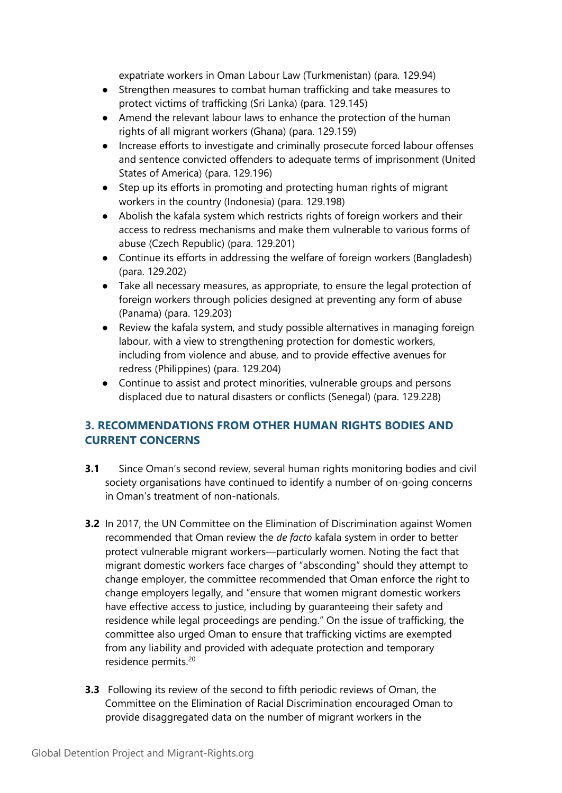expatriate workers in Oman Labour Law (Turkmenistan) (para. 129.94)

- Strengthen measures to combat human trafficking and take measures to protect victims of trafficking (Sri Lanka) (para. 129.145)
- Amend the relevant labour laws to enhance the protection of the human rights of all migrant workers (Ghana) (para. 129.159)
- ● Increase efforts to investigate and criminally prosecute forced labour offenses and sentence convicted offenders to adequate terms of imprisonment (United States of America) (para. 129.196)
- $\bullet$  Step up its efforts in promoting and protecting human rights of migrant workers in the country (Indonesia) (para. 129.198)
- Abolish the kafala system which restricts rights of foreign workers and their access to redress mechanisms and make them vulnerable to various forms of abuse (Czech Republic) (para. 129.201)
- Continue its efforts in addressing the welfare of foreign workers (Bangladesh) (para. 129.202)
- Take all necessary measures, as appropriate, to ensure the legal protection of foreign workers through policies designed at preventing any form of abuse (Panama) (para. 129.203)
	- ● Review the kafala system, and study possible alternatives in managing foreign labour, with <sup>a</sup> view to strengthening protection for domestic workers, including from violence and abuse, and to provide effective avenues for redress (Philippines) (para. 129.204)
- Continue to assist and protect minorities, vulnerable groups and persons displaced due to natural disasters or conflicts (Senegal) (para. 129.228)

### **3. RECOMMENDATIONS FROM OTHER HUMAN RIGHTS BODIES AND CURRENT CONCERNS**

- **3.1** Since Oman'<sup>s</sup> second review, several human rights monitoring bodies and civil society organisations have continued to identify <sup>a</sup> number of on-going concerns in Oman'<sup>s</sup> treatment of non-nationals.
- **3.2** In 2017, the UN Committee on the Elimination of Discrimination against Women recommended that Oman review the *de facto* kafala system in order to better protect vulnerable migrant workers—particularly women. Noting the fact that migrant domestic workers face charges of "absconding" should they attempt to change employer, the committee recommended that Oman enforce the right to change employers legally, and "ensure that women migrant domestic workers have effective access to justice, including by guaranteeing their safety and residence while legal proceedings are pending." On the issue of trafficking, the committee also urged Oman to ensure that trafficking victims are exempted from any liability and provided with adequate protection and temporary residence permits. 20
- **3.3** Following its review of the second to fifth periodic reviews of Oman, the Committee on the Elimination of Racial Discrimination encouraged Oman to provide disaggregated data on the number of migrant workers in the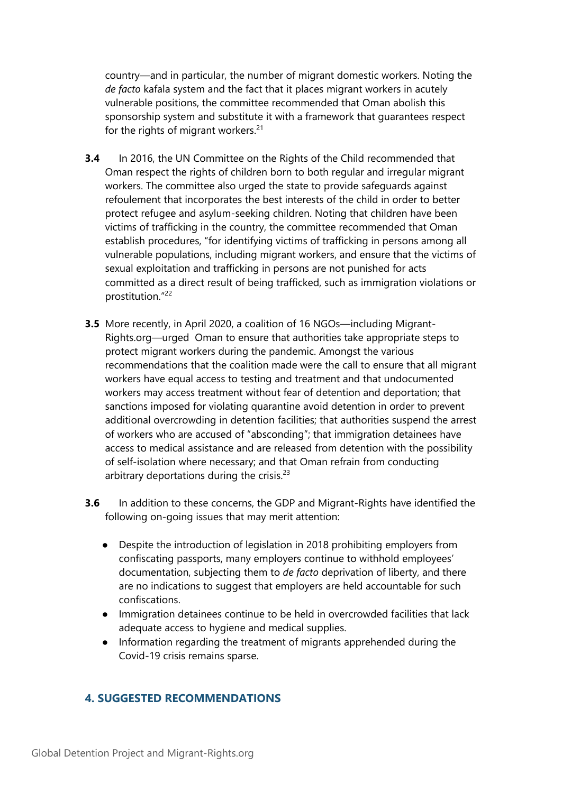country—and in particular, the number of migrant domestic workers. Noting the *de facto* kafala system and the fact that it places migrant workers in acutely vulnerable positions, the committee recommended that Oman abolish this sponsorship system and substitute it with <sup>a</sup> framework that guarantees respect for the rights of migrant workers.<sup>21</sup>

- **3.4** In 2016, the UN Committee on the Rights of the Child recommended that Oman respect the rights of children born to both regular and irregular migrant workers. The committee also urged the state to provide safeguards against refoulement that incorporates the best interests of the child in order to better protect refugee and asylum-seeking children. Noting that children have been victims of trafficking in the country, the committee recommended that Oman establish procedures, "for identifying victims of trafficking in persons among all vulnerable populations, including migrant workers, and ensure that the victims of sexual exploitation and trafficking in persons are not punished for acts committed as <sup>a</sup> direct result of being trafficked, such as immigration violations or prostitution." 22
- **3.5** More recently, in April 2020, <sup>a</sup> coalition of 16 NGOs—including Migrant-Rights.org—urged Oman to ensure that authorities take appropriate steps to protect migrant workers during the pandemic. Amongst the various recommendations that the coalition made were the call to ensure that all migrant workers have equal access to testing and treatment and that undocumented workers may access treatment without fear of detention and deportation; that sanctions imposed for violating quarantine avoid detention in order to prevent additional overcrowding in detention facilities; that authorities suspend the arrest of workers who are accused of "absconding"; that immigration detainees have access to medical assistance and are released from detention with the possibility of self-isolation where necessary; and that Oman refrain from conducting arbitrary deportations during the crisis.<sup>23</sup>
- **3.6** In addition to these concerns, the GDP and Migrant-Rights have identified the following on-going issues that may merit attention:
	- $\bullet$  Despite the introduction of legislation in 2018 prohibiting employers from confiscating passports, many employers continue to withhold employees' documentation, subjecting them to *de facto* deprivation of liberty, and there are no indications to sugges<sup>t</sup> that employers are held accountable for such confiscations.
	- Immigration detainees continue to be held in overcrowded facilities that lack adequate access to hygiene and medical supplies.
	- $\bullet$  Information regarding the treatment of migrants apprehended during the Covid-19 crisis remains sparse.

### **4. SUGGESTED RECOMMENDATIONS**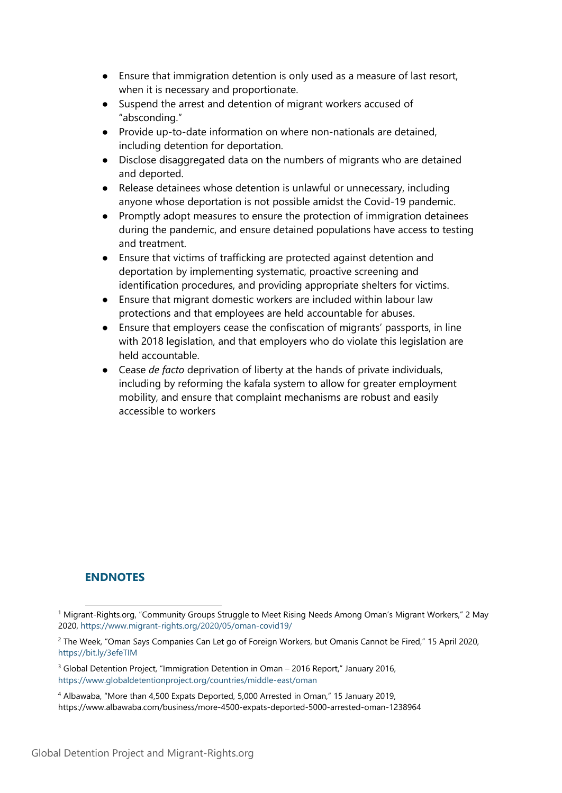- Ensure that immigration detention is only used as <sup>a</sup> measure of last resort, when it is necessary and proportionate.
- $\bullet$  Suspend the arrest and detention of migrant workers accused of "absconding."
- ● Provide up-to-date information on where non-nationals are detained, including detention for deportation.
- $\bullet$  Disclose disaggregated data on the numbers of migrants who are detained and deported.
- $\bullet$  Release detainees whose detention is unlawful or unnecessary, including anyone whose deportation is not possible amidst the Covid-19 pandemic.
- ● Promptly adopt measures to ensure the protection of immigration detainees during the pandemic, and ensure detained populations have access to testing and treatment.
- $\bullet$  Ensure that victims of trafficking are protected against detention and deportation by implementing systematic, proactive screening and identification procedures, and providing appropriate shelters for victims.
- $\bullet$  Ensure that migrant domestic workers are included within labour law protections and that employees are held accountable for abuses.
- ● Ensure that employers cease the confiscation of migrants' passports, in line with 2018 legislation, and that employers who do violate this legislation are held accountable.
- Cease *de facto* deprivation of liberty at the hands of private individuals, including by reforming the kafala system to allow for greater employment mobility, and ensure that complaint mechanisms are robust and easily accessible to workers

### **ENDNOTES**

<sup>1</sup> Migrant-Rights.org, "Community Groups Struggle to Meet Rising Needs Among Oman'<sup>s</sup> Migrant Workers," <sup>2</sup> May 2020, <https://www.migrant-rights.org/2020/05/oman-covid19/>

<sup>&</sup>lt;sup>2</sup> The Week, "Oman Says Companies Can Let go of Foreign Workers, but Omanis Cannot be Fired," 15 April 2020, <https://bit.ly/3efeTIM>

<sup>&</sup>lt;sup>3</sup> Global Detention Project, "Immigration Detention in Oman – 2016 Report," January 2016, <https://www.globaldetentionproject.org/countries/middle-east/oman>

<sup>4</sup> Albawaba, "More than 4,500 Expats Deported, 5,000 Arrested in Oman," 15 January 2019, <https://www.albawaba.com/business/more-4500-expats-deported-5000-arrested-oman-1238964>